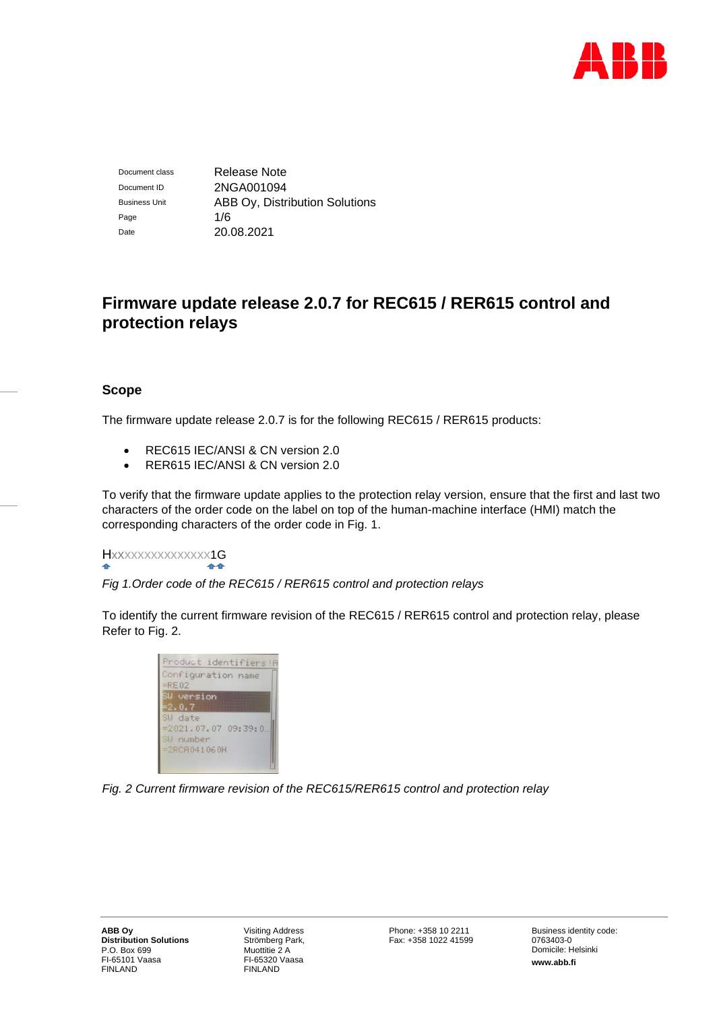

Document class Release Note Document ID 2NGA001094 Business Unit **ABB Oy, Distribution Solutions** Page 1/6 Date 20.08.2021

# **Firmware update release 2.0.7 for REC615 / RER615 control and protection relays**

# **Scope**

The firmware update release 2.0.7 is for the following REC615 / RER615 products:

- REC615 IEC/ANSI & CN version 2.0
- RER615 IEC/ANSI & CN version 2.0

To verify that the firmware update applies to the protection relay version, ensure that the first and last two characters of the order code on the label on top of the human-machine interface (HMI) match the corresponding characters of the order code in Fig. 1.

#### Hxxxxxxxxxxxxxxx1G  $4 - 1$

*Fig 1.Order code of the REC615 / RER615 control and protection relays*

To identify the current firmware revision of the REC615 / RER615 control and protection relay, please Refer to Fig. 2.



*Fig. 2 Current firmware revision of the REC615/RER615 control and protection relay*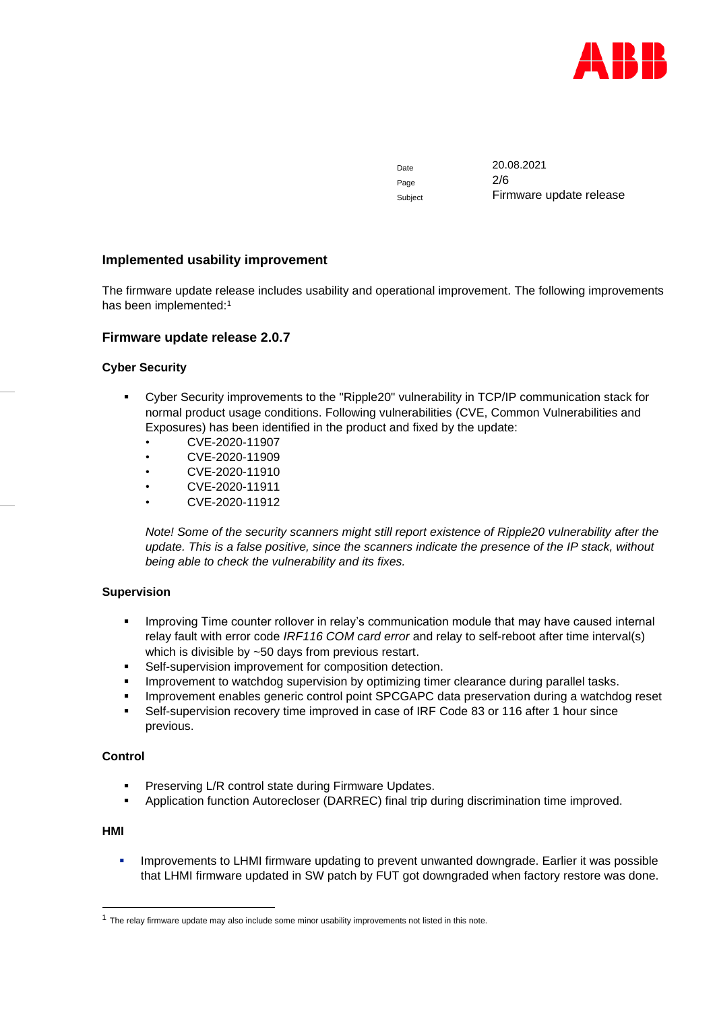

Date 20.08.2021 Page 2/6 Subject Firmware update release

# **Implemented usability improvement**

The firmware update release includes usability and operational improvement. The following improvements has been implemented:<sup>1</sup>

# **Firmware update release 2.0.7**

# **Cyber Security**

- Cyber Security improvements to the "Ripple20" vulnerability in TCP/IP communication stack for normal product usage conditions. Following vulnerabilities (CVE, Common Vulnerabilities and Exposures) has been identified in the product and fixed by the update:
	- CVE-2020-11907
	- CVE-2020-11909
	- CVE-2020-11910
	- CVE-2020-11911
	- CVE-2020-11912

*Note! Some of the security scanners might still report existence of Ripple20 vulnerability after the update. This is a false positive, since the scanners indicate the presence of the IP stack, without being able to check the vulnerability and its fixes.*

#### **Supervision**

- **•** Improving Time counter rollover in relay's communication module that may have caused internal relay fault with error code *IRF116 COM card error* and relay to self-reboot after time interval(s) which is divisible by ~50 days from previous restart.
- Self-supervision improvement for composition detection.
- **•** Improvement to watchdog supervision by optimizing timer clearance during parallel tasks.
- **Improvement enables generic control point SPCGAPC data preservation during a watchdog reset**
- Self-supervision recovery time improved in case of IRF Code 83 or 116 after 1 hour since previous.

#### **Control**

- Preserving L/R control state during Firmware Updates.
- Application function Autorecloser (DARREC) final trip during discrimination time improved.

# **HMI**

**•** Improvements to LHMI firmware updating to prevent unwanted downgrade. Earlier it was possible that LHMI firmware updated in SW patch by FUT got downgraded when factory restore was done.

 $1$  The relay firmware update may also include some minor usability improvements not listed in this note.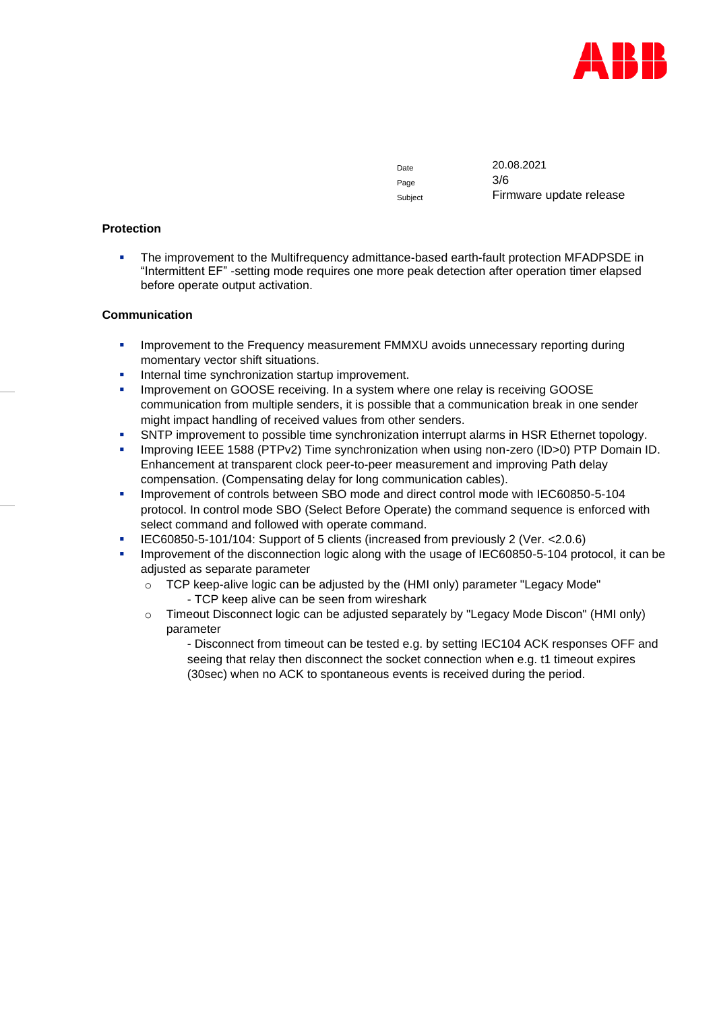

Page 3/6

Date 20.08.2021 Subject Firmware update release

### **Protection**

**•** The improvement to the Multifrequency admittance-based earth-fault protection MFADPSDE in "Intermittent EF" -setting mode requires one more peak detection after operation timer elapsed before operate output activation.

### **Communication**

- **Improvement to the Frequency measurement FMMXU avoids unnecessary reporting during** momentary vector shift situations.
- Internal time synchronization startup improvement.
- Improvement on GOOSE receiving. In a system where one relay is receiving GOOSE communication from multiple senders, it is possible that a communication break in one sender might impact handling of received values from other senders.
- **SNTP improvement to possible time synchronization interrupt alarms in HSR Ethernet topology.**
- Improving IEEE 1588 (PTPv2) Time synchronization when using non-zero (ID>0) PTP Domain ID. Enhancement at transparent clock peer-to-peer measurement and improving Path delay compensation. (Compensating delay for long communication cables).
- **■** Improvement of controls between SBO mode and direct control mode with IEC60850-5-104 protocol. In control mode SBO (Select Before Operate) the command sequence is enforced with select command and followed with operate command.
- IEC60850-5-101/104: Support of 5 clients (increased from previously 2 (Ver. <2.0.6)
- **•** Improvement of the disconnection logic along with the usage of IEC60850-5-104 protocol, it can be adjusted as separate parameter
	- o TCP keep-alive logic can be adjusted by the (HMI only) parameter "Legacy Mode" - TCP keep alive can be seen from wireshark
	- o Timeout Disconnect logic can be adjusted separately by "Legacy Mode Discon" (HMI only) parameter

- Disconnect from timeout can be tested e.g. by setting IEC104 ACK responses OFF and seeing that relay then disconnect the socket connection when e.g. t1 timeout expires (30sec) when no ACK to spontaneous events is received during the period.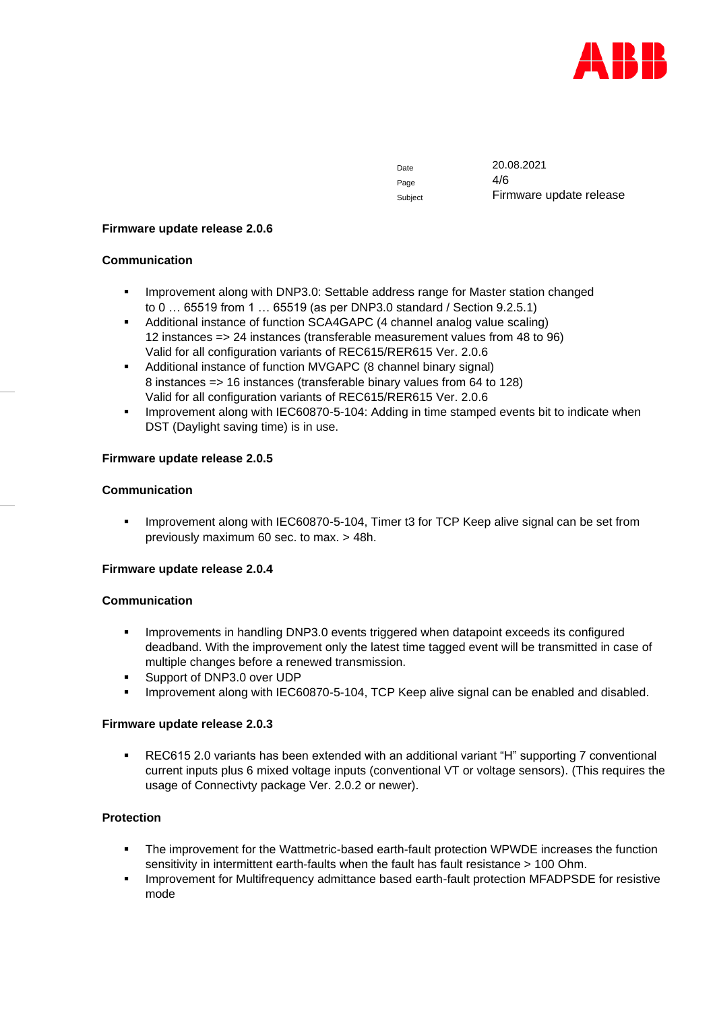

Page 4/6

Date 20.08.2021 Subject Firmware update release

#### **Firmware update release 2.0.6**

### **Communication**

- **■** Improvement along with DNP3.0: Settable address range for Master station changed to 0 … 65519 from 1 … 65519 (as per DNP3.0 standard / Section 9.2.5.1)
- Additional instance of function SCA4GAPC (4 channel analog value scaling) 12 instances => 24 instances (transferable measurement values from 48 to 96) Valid for all configuration variants of REC615/RER615 Ver. 2.0.6
- Additional instance of function MVGAPC (8 channel binary signal) 8 instances => 16 instances (transferable binary values from 64 to 128) Valid for all configuration variants of REC615/RER615 Ver. 2.0.6
- **Improvement along with IEC60870-5-104: Adding in time stamped events bit to indicate when** DST (Daylight saving time) is in use.

# **Firmware update release 2.0.5**

### **Communication**

**•** Improvement along with IEC60870-5-104, Timer t3 for TCP Keep alive signal can be set from previously maximum 60 sec. to max. > 48h.

#### **Firmware update release 2.0.4**

#### **Communication**

- Improvements in handling DNP3.0 events triggered when datapoint exceeds its configured deadband. With the improvement only the latest time tagged event will be transmitted in case of multiple changes before a renewed transmission.
- Support of DNP3.0 over UDP
- Improvement along with IEC60870-5-104, TCP Keep alive signal can be enabled and disabled.

#### **Firmware update release 2.0.3**

■ REC615 2.0 variants has been extended with an additional variant "H" supporting 7 conventional current inputs plus 6 mixed voltage inputs (conventional VT or voltage sensors). (This requires the usage of Connectivty package Ver. 2.0.2 or newer).

# **Protection**

- The improvement for the Wattmetric-based earth-fault protection WPWDE increases the function sensitivity in intermittent earth-faults when the fault has fault resistance > 100 Ohm.
- Improvement for Multifrequency admittance based earth-fault protection MFADPSDE for resistive mode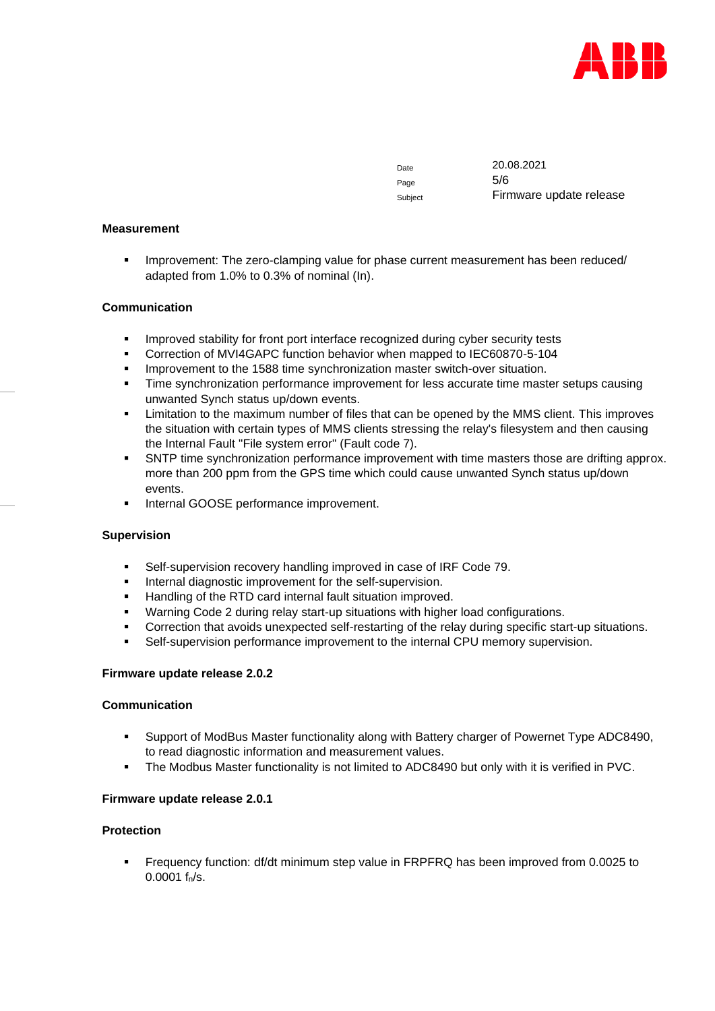

Page 5/6

Date 20.08.2021 Subject Firmware update release

#### **Measurement**

**•** Improvement: The zero-clamping value for phase current measurement has been reduced/ adapted from 1.0% to 0.3% of nominal (In).

### **Communication**

- **•** Improved stability for front port interface recognized during cyber security tests
- Correction of MVI4GAPC function behavior when mapped to IEC60870-5-104
- Improvement to the 1588 time synchronization master switch-over situation.
- **Time synchronization performance improvement for less accurate time master setups causing** unwanted Synch status up/down events.
- **EXECT** Limitation to the maximum number of files that can be opened by the MMS client. This improves the situation with certain types of MMS clients stressing the relay's filesystem and then causing the Internal Fault "File system error" (Fault code 7).
- SNTP time synchronization performance improvement with time masters those are drifting approx. more than 200 ppm from the GPS time which could cause unwanted Synch status up/down events.
- **■** Internal GOOSE performance improvement.

#### **Supervision**

- Self-supervision recovery handling improved in case of IRF Code 79.
- **•** Internal diagnostic improvement for the self-supervision.
- Handling of the RTD card internal fault situation improved.
- Warning Code 2 during relay start-up situations with higher load configurations.
- Correction that avoids unexpected self-restarting of the relay during specific start-up situations.
- **•** Self-supervision performance improvement to the internal CPU memory supervision.

#### **Firmware update release 2.0.2**

#### **Communication**

- Support of ModBus Master functionality along with Battery charger of Powernet Type ADC8490, to read diagnostic information and measurement values.
- The Modbus Master functionality is not limited to ADC8490 but only with it is verified in PVC.

#### **Firmware update release 2.0.1**

#### **Protection**

▪ Frequency function: df/dt minimum step value in FRPFRQ has been improved from 0.0025 to  $0.0001$  f<sub>n</sub>/s.